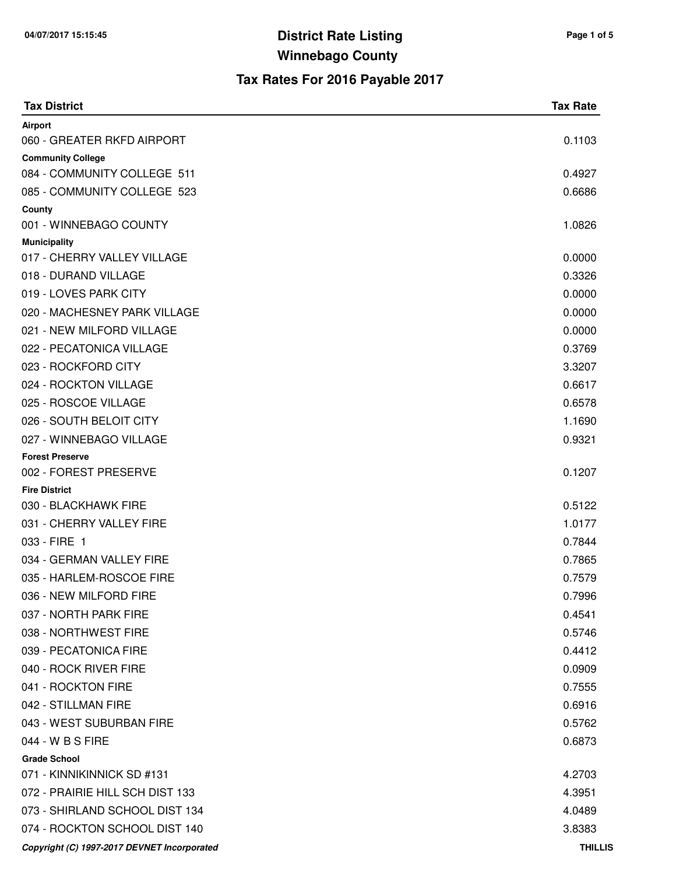| <b>Tax District</b>                         | <b>Tax Rate</b> |
|---------------------------------------------|-----------------|
| Airport                                     |                 |
| 060 - GREATER RKFD AIRPORT                  | 0.1103          |
| <b>Community College</b>                    |                 |
| 084 - COMMUNITY COLLEGE 511                 | 0.4927          |
| 085 - COMMUNITY COLLEGE 523                 | 0.6686          |
| County<br>001 - WINNEBAGO COUNTY            | 1.0826          |
| <b>Municipality</b>                         |                 |
| 017 - CHERRY VALLEY VILLAGE                 | 0.0000          |
| 018 - DURAND VILLAGE                        | 0.3326          |
| 019 - LOVES PARK CITY                       | 0.0000          |
| 020 - MACHESNEY PARK VILLAGE                | 0.0000          |
| 021 - NEW MILFORD VILLAGE                   | 0.0000          |
| 022 - PECATONICA VILLAGE                    | 0.3769          |
| 023 - ROCKFORD CITY                         | 3.3207          |
| 024 - ROCKTON VILLAGE                       | 0.6617          |
| 025 - ROSCOE VILLAGE                        | 0.6578          |
| 026 - SOUTH BELOIT CITY                     | 1.1690          |
| 027 - WINNEBAGO VILLAGE                     | 0.9321          |
| <b>Forest Preserve</b>                      |                 |
| 002 - FOREST PRESERVE                       | 0.1207          |
| <b>Fire District</b>                        |                 |
| 030 - BLACKHAWK FIRE                        | 0.5122          |
| 031 - CHERRY VALLEY FIRE                    | 1.0177          |
| 033 - FIRE 1                                | 0.7844          |
| 034 - GERMAN VALLEY FIRE                    | 0.7865          |
| 035 - HARLEM-ROSCOE FIRE                    | 0.7579          |
| 036 - NEW MILFORD FIRE                      | 0.7996          |
| 037 - NORTH PARK FIRE                       | 0.4541          |
| 038 - NORTHWEST FIRE                        | 0.5746          |
| 039 - PECATONICA FIRE                       | 0.4412          |
| 040 - ROCK RIVER FIRE                       | 0.0909          |
| 041 - ROCKTON FIRE                          | 0.7555          |
| 042 - STILLMAN FIRE                         | 0.6916          |
| 043 - WEST SUBURBAN FIRE                    | 0.5762          |
| 044 - W B S FIRE                            | 0.6873          |
| <b>Grade School</b>                         |                 |
| 071 - KINNIKINNICK SD #131                  | 4.2703          |
| 072 - PRAIRIE HILL SCH DIST 133             | 4.3951          |
| 073 - SHIRLAND SCHOOL DIST 134              | 4.0489          |
| 074 - ROCKTON SCHOOL DIST 140               | 3.8383          |
| Copyright (C) 1997-2017 DEVNET Incorporated | <b>THILLIS</b>  |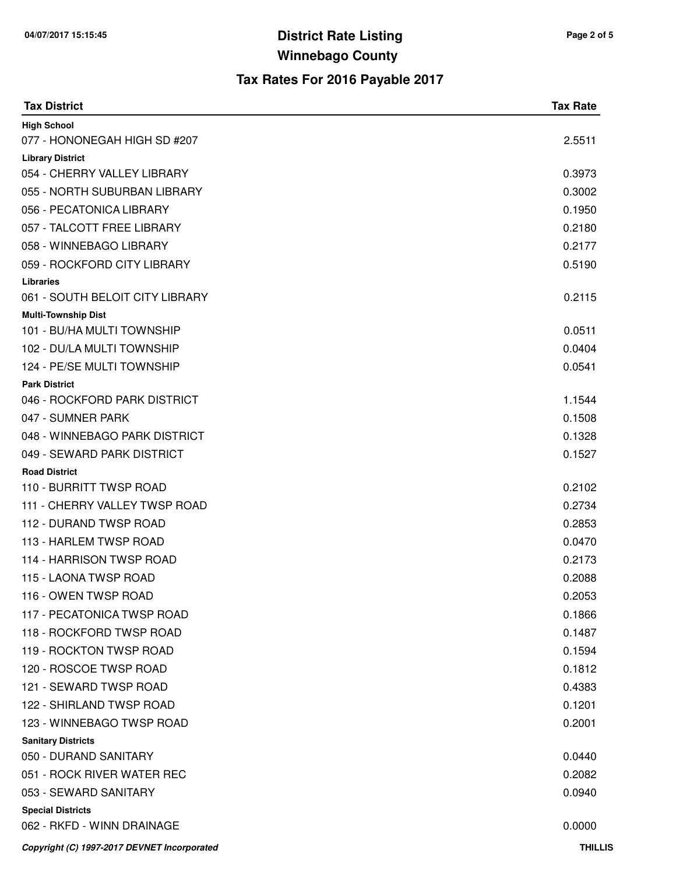| <b>Tax District</b>                                  | <b>Tax Rate</b>  |
|------------------------------------------------------|------------------|
| <b>High School</b>                                   |                  |
| 077 - HONONEGAH HIGH SD #207                         | 2.5511           |
| <b>Library District</b>                              |                  |
| 054 - CHERRY VALLEY LIBRARY                          | 0.3973           |
| 055 - NORTH SUBURBAN LIBRARY                         | 0.3002           |
| 056 - PECATONICA LIBRARY                             | 0.1950           |
| 057 - TALCOTT FREE LIBRARY                           | 0.2180           |
| 058 - WINNEBAGO LIBRARY                              | 0.2177           |
| 059 - ROCKFORD CITY LIBRARY                          | 0.5190           |
| <b>Libraries</b>                                     |                  |
| 061 - SOUTH BELOIT CITY LIBRARY                      | 0.2115           |
| <b>Multi-Township Dist</b>                           |                  |
| 101 - BU/HA MULTI TOWNSHIP                           | 0.0511           |
| 102 - DU/LA MULTI TOWNSHIP                           | 0.0404           |
| 124 - PE/SE MULTI TOWNSHIP                           | 0.0541           |
| <b>Park District</b><br>046 - ROCKFORD PARK DISTRICT | 1.1544           |
|                                                      | 0.1508           |
| 047 - SUMNER PARK<br>048 - WINNEBAGO PARK DISTRICT   | 0.1328           |
|                                                      |                  |
| 049 - SEWARD PARK DISTRICT                           | 0.1527           |
| <b>Road District</b><br>110 - BURRITT TWSP ROAD      | 0.2102           |
| 111 - CHERRY VALLEY TWSP ROAD                        | 0.2734           |
| 112 - DURAND TWSP ROAD                               | 0.2853           |
| 113 - HARLEM TWSP ROAD                               | 0.0470           |
| 114 - HARRISON TWSP ROAD                             | 0.2173           |
| 115 - LAONA TWSP ROAD                                | 0.2088           |
| 116 - OWEN TWSP ROAD                                 | 0.2053           |
| 117 - PECATONICA TWSP ROAD                           | 0.1866           |
| 118 - ROCKFORD TWSP ROAD                             | 0.1487           |
| 119 - ROCKTON TWSP ROAD                              | 0.1594           |
| 120 - ROSCOE TWSP ROAD                               |                  |
| 121 - SEWARD TWSP ROAD                               | 0.1812<br>0.4383 |
|                                                      |                  |
| 122 - SHIRLAND TWSP ROAD                             | 0.1201           |
| 123 - WINNEBAGO TWSP ROAD                            | 0.2001           |
| <b>Sanitary Districts</b><br>050 - DURAND SANITARY   | 0.0440           |
| 051 - ROCK RIVER WATER REC                           | 0.2082           |
| 053 - SEWARD SANITARY                                | 0.0940           |
| <b>Special Districts</b>                             |                  |
| 062 - RKFD - WINN DRAINAGE                           | 0.0000           |
|                                                      | <b>THILLIS</b>   |
| Copyright (C) 1997-2017 DEVNET Incorporated          |                  |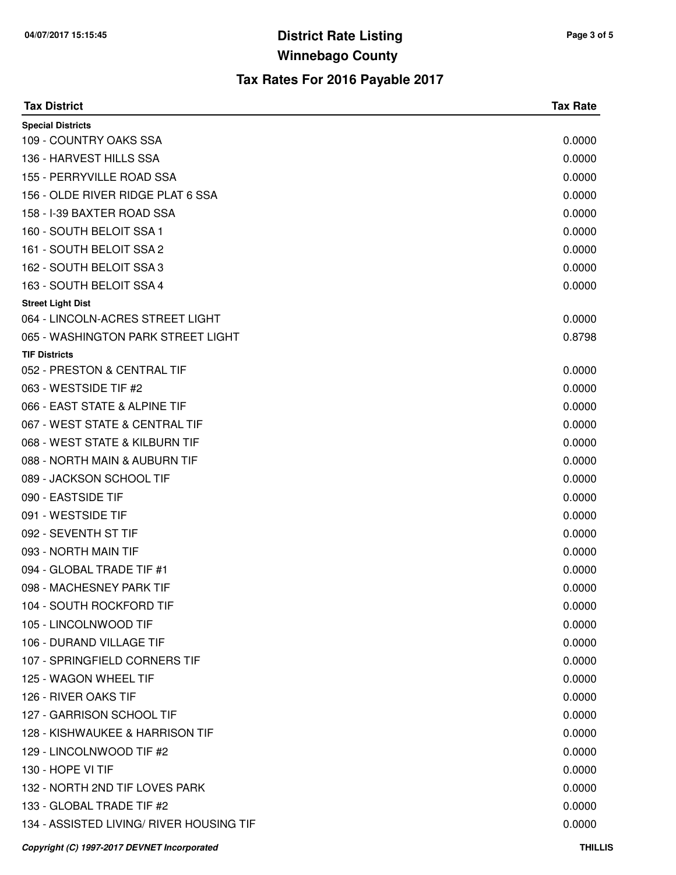| <b>Tax District</b>                         | <b>Tax Rate</b> |
|---------------------------------------------|-----------------|
| <b>Special Districts</b>                    |                 |
| 109 - COUNTRY OAKS SSA                      | 0.0000          |
| 136 - HARVEST HILLS SSA                     | 0.0000          |
| 155 - PERRYVILLE ROAD SSA                   | 0.0000          |
| 156 - OLDE RIVER RIDGE PLAT 6 SSA           | 0.0000          |
| 158 - I-39 BAXTER ROAD SSA                  | 0.0000          |
| 160 - SOUTH BELOIT SSA 1                    | 0.0000          |
| 161 - SOUTH BELOIT SSA 2                    | 0.0000          |
| 162 - SOUTH BELOIT SSA 3                    | 0.0000          |
| 163 - SOUTH BELOIT SSA 4                    | 0.0000          |
| <b>Street Light Dist</b>                    |                 |
| 064 - LINCOLN-ACRES STREET LIGHT            | 0.0000          |
| 065 - WASHINGTON PARK STREET LIGHT          | 0.8798          |
| <b>TIF Districts</b>                        |                 |
| 052 - PRESTON & CENTRAL TIF                 | 0.0000          |
| 063 - WESTSIDE TIF #2                       | 0.0000          |
| 066 - EAST STATE & ALPINE TIF               | 0.0000          |
| 067 - WEST STATE & CENTRAL TIF              | 0.0000          |
| 068 - WEST STATE & KILBURN TIF              | 0.0000          |
| 088 - NORTH MAIN & AUBURN TIF               | 0.0000          |
| 089 - JACKSON SCHOOL TIF                    | 0.0000          |
| 090 - EASTSIDE TIF                          | 0.0000          |
| 091 - WESTSIDE TIF                          | 0.0000          |
| 092 - SEVENTH ST TIF                        | 0.0000          |
| 093 - NORTH MAIN TIF                        | 0.0000          |
| 094 - GLOBAL TRADE TIF #1                   | 0.0000          |
| 098 - MACHESNEY PARK TIF                    | 0.0000          |
| 104 - SOUTH ROCKFORD TIF                    | 0.0000          |
| 105 - LINCOLNWOOD TIF                       | 0.0000          |
| 106 - DURAND VILLAGE TIF                    | 0.0000          |
| 107 - SPRINGFIELD CORNERS TIF               | 0.0000          |
| 125 - WAGON WHEEL TIF                       | 0.0000          |
| 126 - RIVER OAKS TIF                        | 0.0000          |
| 127 - GARRISON SCHOOL TIF                   | 0.0000          |
| 128 - KISHWAUKEE & HARRISON TIF             | 0.0000          |
| 129 - LINCOLNWOOD TIF #2                    | 0.0000          |
| 130 - HOPE VI TIF                           | 0.0000          |
| 132 - NORTH 2ND TIF LOVES PARK              | 0.0000          |
| 133 - GLOBAL TRADE TIF #2                   | 0.0000          |
| 134 - ASSISTED LIVING/ RIVER HOUSING TIF    | 0.0000          |
| Copyright (C) 1997-2017 DEVNET Incorporated | <b>THILLIS</b>  |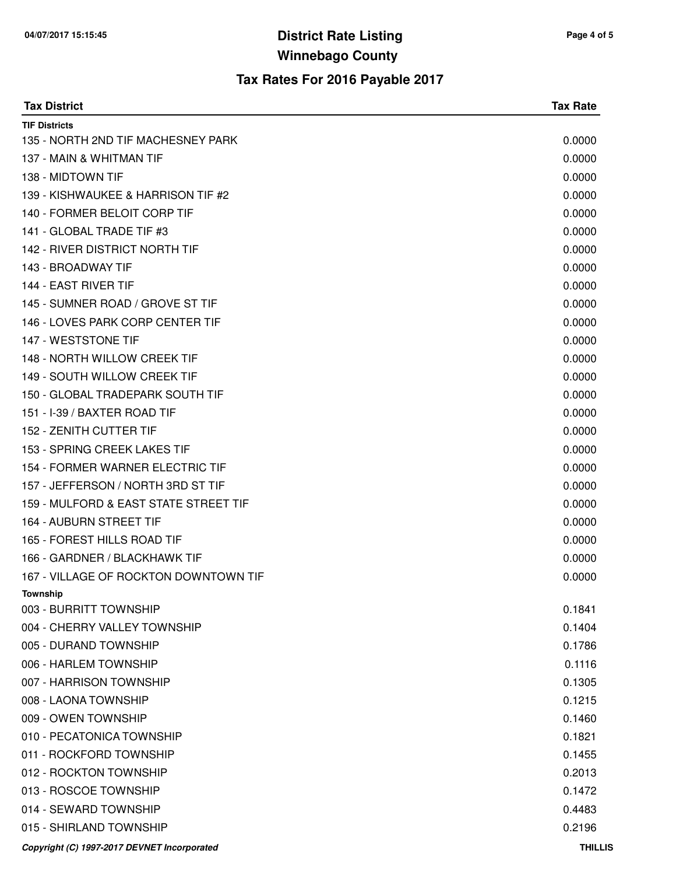| <b>Tax District</b>                         | <b>Tax Rate</b> |
|---------------------------------------------|-----------------|
| <b>TIF Districts</b>                        |                 |
| 135 - NORTH 2ND TIF MACHESNEY PARK          | 0.0000          |
| 137 - MAIN & WHITMAN TIF                    | 0.0000          |
| 138 - MIDTOWN TIF                           | 0.0000          |
| 139 - KISHWAUKEE & HARRISON TIF #2          | 0.0000          |
| 140 - FORMER BELOIT CORP TIF                | 0.0000          |
| 141 - GLOBAL TRADE TIF #3                   | 0.0000          |
| 142 - RIVER DISTRICT NORTH TIF              | 0.0000          |
| 143 - BROADWAY TIF                          | 0.0000          |
| 144 - EAST RIVER TIF                        | 0.0000          |
| 145 - SUMNER ROAD / GROVE ST TIF            | 0.0000          |
| 146 - LOVES PARK CORP CENTER TIF            | 0.0000          |
| 147 - WESTSTONE TIF                         | 0.0000          |
| 148 - NORTH WILLOW CREEK TIF                | 0.0000          |
| 149 - SOUTH WILLOW CREEK TIF                | 0.0000          |
| 150 - GLOBAL TRADEPARK SOUTH TIF            | 0.0000          |
| 151 - I-39 / BAXTER ROAD TIF                | 0.0000          |
| 152 - ZENITH CUTTER TIF                     | 0.0000          |
| 153 - SPRING CREEK LAKES TIF                | 0.0000          |
| 154 - FORMER WARNER ELECTRIC TIF            | 0.0000          |
| 157 - JEFFERSON / NORTH 3RD ST TIF          | 0.0000          |
| 159 - MULFORD & EAST STATE STREET TIF       | 0.0000          |
| 164 - AUBURN STREET TIF                     | 0.0000          |
| 165 - FOREST HILLS ROAD TIF                 | 0.0000          |
| 166 - GARDNER / BLACKHAWK TIF               | 0.0000          |
| 167 - VILLAGE OF ROCKTON DOWNTOWN TIF       | 0.0000          |
| Township                                    |                 |
| 003 - BURRITT TOWNSHIP                      | 0.1841          |
| 004 - CHERRY VALLEY TOWNSHIP                | 0.1404          |
| 005 - DURAND TOWNSHIP                       | 0.1786          |
| 006 - HARLEM TOWNSHIP                       | 0.1116          |
| 007 - HARRISON TOWNSHIP                     | 0.1305          |
| 008 - LAONA TOWNSHIP                        | 0.1215          |
| 009 - OWEN TOWNSHIP                         | 0.1460          |
| 010 - PECATONICA TOWNSHIP                   | 0.1821          |
| 011 - ROCKFORD TOWNSHIP                     | 0.1455          |
| 012 - ROCKTON TOWNSHIP                      | 0.2013          |
| 013 - ROSCOE TOWNSHIP                       | 0.1472          |
| 014 - SEWARD TOWNSHIP                       | 0.4483          |
| 015 - SHIRLAND TOWNSHIP                     | 0.2196          |
| Copyright (C) 1997-2017 DEVNET Incorporated | <b>THILLIS</b>  |